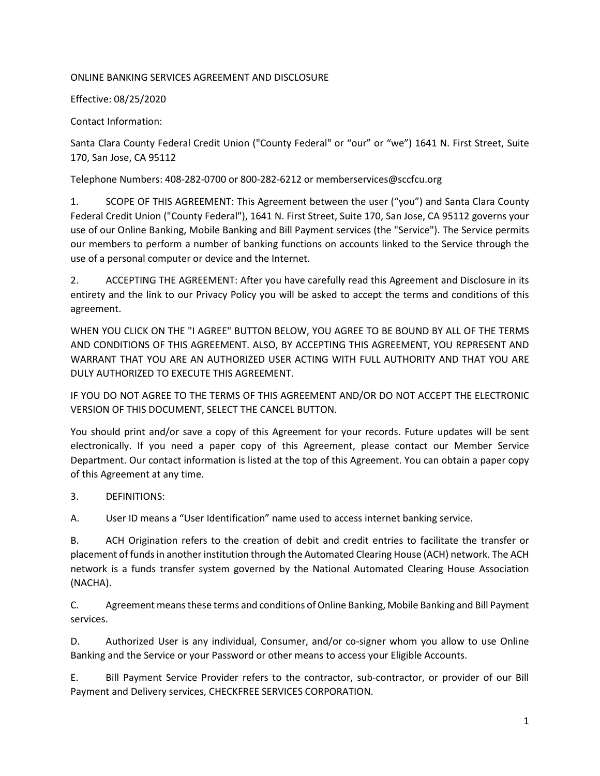## ONLINE BANKING SERVICES AGREEMENT AND DISCLOSURE

Effective: 08/25/2020

Contact Information:

Santa Clara County Federal Credit Union ("County Federal" or "our" or "we") 1641 N. First Street, Suite 170, San Jose, CA 95112

Telephone Numbers: 408-282-0700 or 800-282-6212 or memberservices@sccfcu.org

1. SCOPE OF THIS AGREEMENT: This Agreement between the user ("you") and Santa Clara County Federal Credit Union ("County Federal"), 1641 N. First Street, Suite 170, San Jose, CA 95112 governs your use of our Online Banking, Mobile Banking and Bill Payment services (the "Service"). The Service permits our members to perform a number of banking functions on accounts linked to the Service through the use of a personal computer or device and the Internet.

2. ACCEPTING THE AGREEMENT: After you have carefully read this Agreement and Disclosure in its entirety and the link to our Privacy Policy you will be asked to accept the terms and conditions of this agreement.

WHEN YOU CLICK ON THE "I AGREE" BUTTON BELOW, YOU AGREE TO BE BOUND BY ALL OF THE TERMS AND CONDITIONS OF THIS AGREEMENT. ALSO, BY ACCEPTING THIS AGREEMENT, YOU REPRESENT AND WARRANT THAT YOU ARE AN AUTHORIZED USER ACTING WITH FULL AUTHORITY AND THAT YOU ARE DULY AUTHORIZED TO EXECUTE THIS AGREEMENT.

IF YOU DO NOT AGREE TO THE TERMS OF THIS AGREEMENT AND/OR DO NOT ACCEPT THE ELECTRONIC VERSION OF THIS DOCUMENT, SELECT THE CANCEL BUTTON.

You should print and/or save a copy of this Agreement for your records. Future updates will be sent electronically. If you need a paper copy of this Agreement, please contact our Member Service Department. Our contact information is listed at the top of this Agreement. You can obtain a paper copy of this Agreement at any time.

3. DEFINITIONS:

A. User ID means a "User Identification" name used to access internet banking service.

B. ACH Origination refers to the creation of debit and credit entries to facilitate the transfer or placement of funds in another institution through the Automated Clearing House (ACH) network. The ACH network is a funds transfer system governed by the National Automated Clearing House Association (NACHA).

C. Agreement means these terms and conditions of Online Banking, Mobile Banking and Bill Payment services.

D. Authorized User is any individual, Consumer, and/or co-signer whom you allow to use Online Banking and the Service or your Password or other means to access your Eligible Accounts.

E. Bill Payment Service Provider refers to the contractor, sub-contractor, or provider of our Bill Payment and Delivery services, CHECKFREE SERVICES CORPORATION.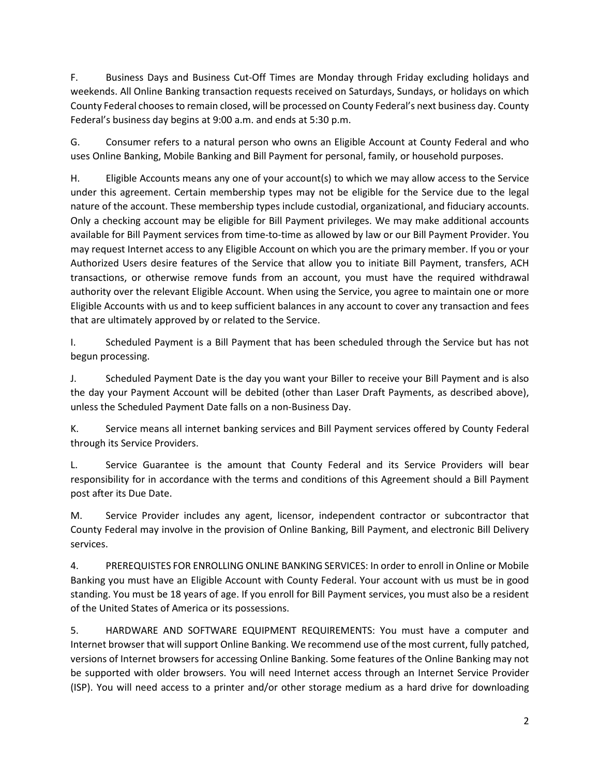F. Business Days and Business Cut-Off Times are Monday through Friday excluding holidays and weekends. All Online Banking transaction requests received on Saturdays, Sundays, or holidays on which County Federal chooses to remain closed, will be processed on County Federal's next business day. County Federal's business day begins at 9:00 a.m. and ends at 5:30 p.m.

G. Consumer refers to a natural person who owns an Eligible Account at County Federal and who uses Online Banking, Mobile Banking and Bill Payment for personal, family, or household purposes.

H. Eligible Accounts means any one of your account(s) to which we may allow access to the Service under this agreement. Certain membership types may not be eligible for the Service due to the legal nature of the account. These membership types include custodial, organizational, and fiduciary accounts. Only a checking account may be eligible for Bill Payment privileges. We may make additional accounts available for Bill Payment services from time-to-time as allowed by law or our Bill Payment Provider. You may request Internet access to any Eligible Account on which you are the primary member. If you or your Authorized Users desire features of the Service that allow you to initiate Bill Payment, transfers, ACH transactions, or otherwise remove funds from an account, you must have the required withdrawal authority over the relevant Eligible Account. When using the Service, you agree to maintain one or more Eligible Accounts with us and to keep sufficient balances in any account to cover any transaction and fees that are ultimately approved by or related to the Service.

I. Scheduled Payment is a Bill Payment that has been scheduled through the Service but has not begun processing.

J. Scheduled Payment Date is the day you want your Biller to receive your Bill Payment and is also the day your Payment Account will be debited (other than Laser Draft Payments, as described above), unless the Scheduled Payment Date falls on a non-Business Day.

K. Service means all internet banking services and Bill Payment services offered by County Federal through its Service Providers.

L. Service Guarantee is the amount that County Federal and its Service Providers will bear responsibility for in accordance with the terms and conditions of this Agreement should a Bill Payment post after its Due Date.

M. Service Provider includes any agent, licensor, independent contractor or subcontractor that County Federal may involve in the provision of Online Banking, Bill Payment, and electronic Bill Delivery services.

4. PREREQUISTES FOR ENROLLING ONLINE BANKING SERVICES: In order to enroll in Online or Mobile Banking you must have an Eligible Account with County Federal. Your account with us must be in good standing. You must be 18 years of age. If you enroll for Bill Payment services, you must also be a resident of the United States of America or its possessions.

5. HARDWARE AND SOFTWARE EQUIPMENT REQUIREMENTS: You must have a computer and Internet browser that will support Online Banking. We recommend use of the most current, fully patched, versions of Internet browsers for accessing Online Banking. Some features of the Online Banking may not be supported with older browsers. You will need Internet access through an Internet Service Provider (ISP). You will need access to a printer and/or other storage medium as a hard drive for downloading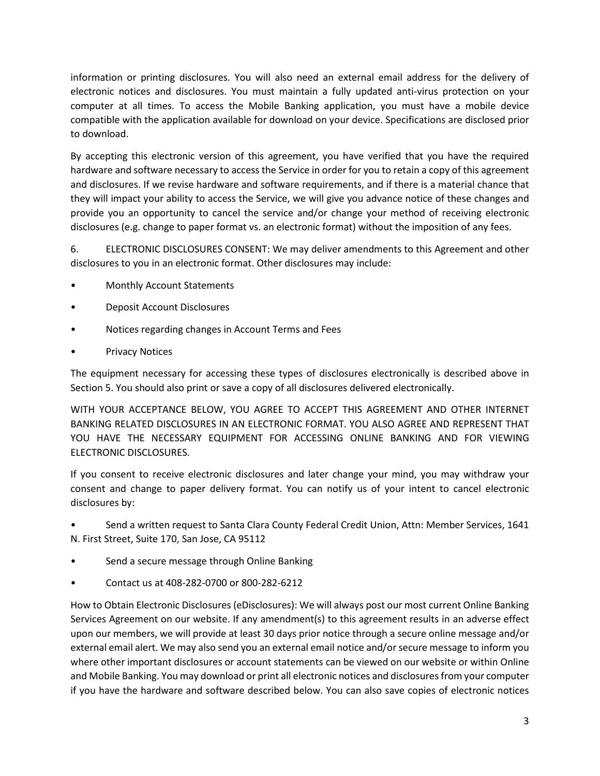information or printing disclosures. You will also need an external email address for the delivery of electronic notices and disclosures. You must maintain a fully updated anti-virus protection on your computer at all times. To access the Mobile Banking application, you must have a mobile device compatible with the application available for download on your device. Specifications are disclosed prior to download.

By accepting this electronic version of this agreement, you have verified that you have the required hardware and software necessary to access the Service in order for you to retain a copy of this agreement and disclosures. If we revise hardware and software requirements, and if there is a material chance that they will impact your ability to access the Service, we will give you advance notice of these changes and provide you an opportunity to cancel the service and/or change your method of receiving electronic disclosures (e.g. change to paper format vs. an electronic format) without the imposition of any fees.

6. ELECTRONIC DISCLOSURES CONSENT: We may deliver amendments to this Agreement and other disclosures to you in an electronic format. Other disclosures may include:

- Monthly Account Statements
- Deposit Account Disclosures
- Notices regarding changes in Account Terms and Fees
- Privacy Notices

The equipment necessary for accessing these types of disclosures electronically is described above in Section 5. You should also print or save a copy of all disclosures delivered electronically.

WITH YOUR ACCEPTANCE BELOW, YOU AGREE TO ACCEPT THIS AGREEMENT AND OTHER INTERNET BANKING RELATED DISCLOSURES IN AN ELECTRONIC FORMAT. YOU ALSO AGREE AND REPRESENT THAT YOU HAVE THE NECESSARY EQUIPMENT FOR ACCESSING ONLINE BANKING AND FOR VIEWING ELECTRONIC DISCLOSURES.

If you consent to receive electronic disclosures and later change your mind, you may withdraw your consent and change to paper delivery format. You can notify us of your intent to cancel electronic disclosures by:

• Send a written request to Santa Clara County Federal Credit Union, Attn: Member Services, 1641 N. First Street, Suite 170, San Jose, CA 95112

- Send a secure message through Online Banking
- Contact us at 408-282-0700 or 800-282-6212

How to Obtain Electronic Disclosures (eDisclosures): We will always post our most current Online Banking Services Agreement on our website. If any amendment(s) to this agreement results in an adverse effect upon our members, we will provide at least 30 days prior notice through a secure online message and/or external email alert. We may also send you an external email notice and/or secure message to inform you where other important disclosures or account statements can be viewed on our website or within Online and Mobile Banking. You may download or print all electronic notices and disclosures from your computer if you have the hardware and software described below. You can also save copies of electronic notices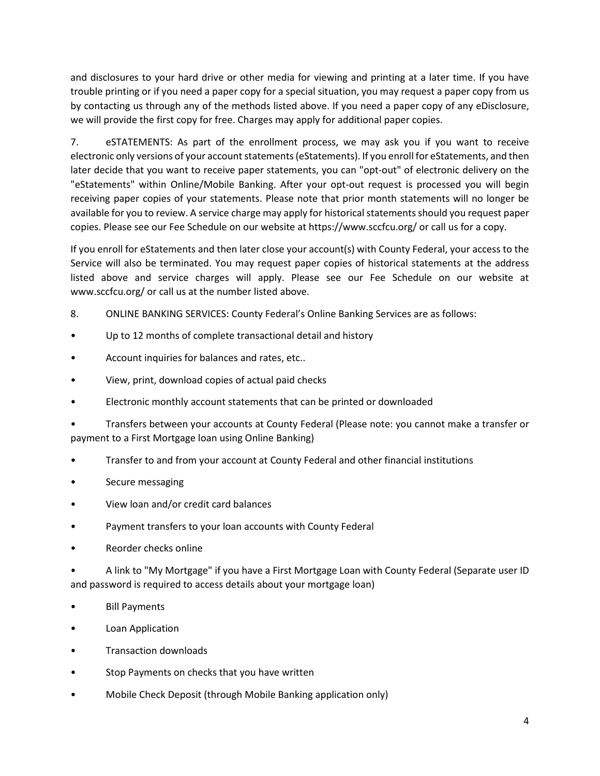and disclosures to your hard drive or other media for viewing and printing at a later time. If you have trouble printing or if you need a paper copy for a special situation, you may request a paper copy from us by contacting us through any of the methods listed above. If you need a paper copy of any eDisclosure, we will provide the first copy for free. Charges may apply for additional paper copies.

7. eSTATEMENTS: As part of the enrollment process, we may ask you if you want to receive electronic only versions of your account statements (eStatements). If you enroll for eStatements, and then later decide that you want to receive paper statements, you can "opt-out" of electronic delivery on the "eStatements" within Online/Mobile Banking. After your opt-out request is processed you will begin receiving paper copies of your statements. Please note that prior month statements will no longer be available for you to review. A service charge may apply for historical statements should you request paper copies. Please see our Fee Schedule on our website at https://www.sccfcu.org/ or call us for a copy.

If you enroll for eStatements and then later close your account(s) with County Federal, your access to the Service will also be terminated. You may request paper copies of historical statements at the address listed above and service charges will apply. Please see our Fee Schedule on our website at www.sccfcu.org/ or call us at the number listed above.

- 8. ONLINE BANKING SERVICES: County Federal's Online Banking Services are as follows:
- Up to 12 months of complete transactional detail and history
- Account inquiries for balances and rates, etc..
- View, print, download copies of actual paid checks
- Electronic monthly account statements that can be printed or downloaded

• Transfers between your accounts at County Federal (Please note: you cannot make a transfer or payment to a First Mortgage loan using Online Banking)

- Transfer to and from your account at County Federal and other financial institutions
- Secure messaging
- View loan and/or credit card balances
- Payment transfers to your loan accounts with County Federal
- Reorder checks online

• A link to "My Mortgage" if you have a First Mortgage Loan with County Federal (Separate user ID and password is required to access details about your mortgage loan)

- Bill Payments
- Loan Application
- Transaction downloads
- Stop Payments on checks that you have written
- Mobile Check Deposit (through Mobile Banking application only)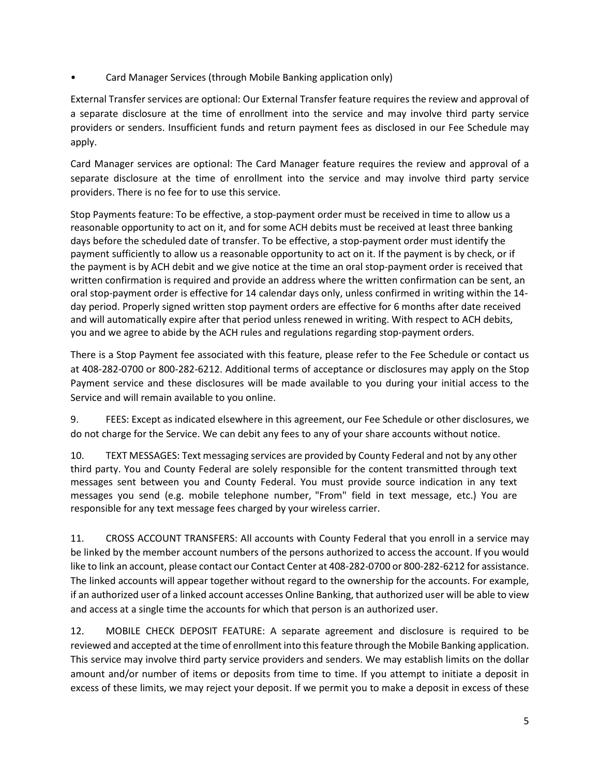• Card Manager Services (through Mobile Banking application only)

External Transfer services are optional: Our External Transfer feature requires the review and approval of a separate disclosure at the time of enrollment into the service and may involve third party service providers or senders. Insufficient funds and return payment fees as disclosed in our Fee Schedule may apply.

Card Manager services are optional: The Card Manager feature requires the review and approval of a separate disclosure at the time of enrollment into the service and may involve third party service providers. There is no fee for to use this service.

Stop Payments feature: To be effective, a stop-payment order must be received in time to allow us a reasonable opportunity to act on it, and for some ACH debits must be received at least three banking days before the scheduled date of transfer. To be effective, a stop-payment order must identify the payment sufficiently to allow us a reasonable opportunity to act on it. If the payment is by check, or if the payment is by ACH debit and we give notice at the time an oral stop-payment order is received that written confirmation is required and provide an address where the written confirmation can be sent, an oral stop-payment order is effective for 14 calendar days only, unless confirmed in writing within the 14 day period. Properly signed written stop payment orders are effective for 6 months after date received and will automatically expire after that period unless renewed in writing. With respect to ACH debits, you and we agree to abide by the ACH rules and regulations regarding stop-payment orders.

There is a Stop Payment fee associated with this feature, please refer to the Fee Schedule or contact us at 408-282-0700 or 800-282-6212. Additional terms of acceptance or disclosures may apply on the Stop Payment service and these disclosures will be made available to you during your initial access to the Service and will remain available to you online.

9. FEES: Except as indicated elsewhere in this agreement, our Fee Schedule or other disclosures, we do not charge for the Service. We can debit any fees to any of your share accounts without notice.

10. TEXT MESSAGES: Text messaging services are provided by County Federal and not by any other third party. You and County Federal are solely responsible for the content transmitted through text messages sent between you and County Federal. You must provide source indication in any text messages you send (e.g. mobile telephone number, "From" field in text message, etc.) You are responsible for any text message fees charged by your wireless carrier.

11. CROSS ACCOUNT TRANSFERS: All accounts with County Federal that you enroll in a service may be linked by the member account numbers of the persons authorized to access the account. If you would like to link an account, please contact our Contact Center at 408-282-0700 or 800-282-6212 for assistance. The linked accounts will appear together without regard to the ownership for the accounts. For example, if an authorized user of a linked account accesses Online Banking, that authorized user will be able to view and access at a single time the accounts for which that person is an authorized user.

12. MOBILE CHECK DEPOSIT FEATURE: A separate agreement and disclosure is required to be reviewed and accepted at the time of enrollment into this feature through the Mobile Banking application. This service may involve third party service providers and senders. We may establish limits on the dollar amount and/or number of items or deposits from time to time. If you attempt to initiate a deposit in excess of these limits, we may reject your deposit. If we permit you to make a deposit in excess of these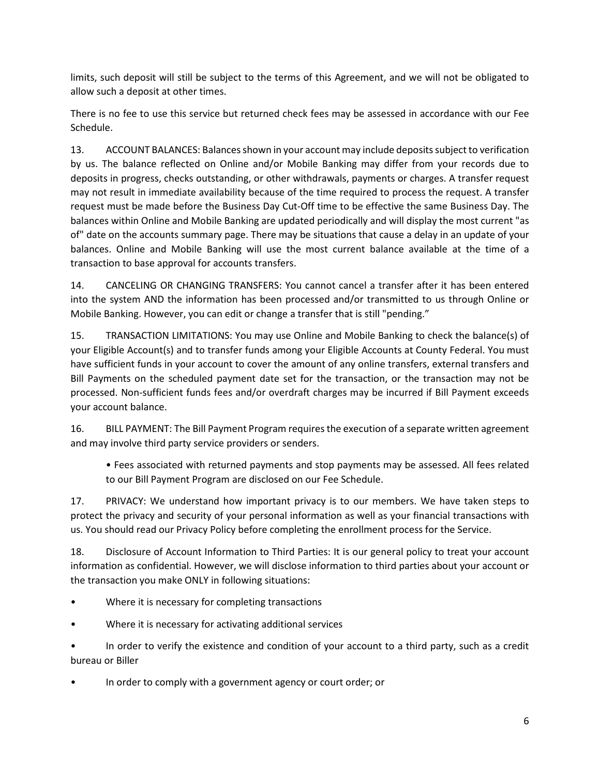limits, such deposit will still be subject to the terms of this Agreement, and we will not be obligated to allow such a deposit at other times.

There is no fee to use this service but returned check fees may be assessed in accordance with our Fee Schedule.

13. ACCOUNT BALANCES: Balances shown in your account may include deposits subject to verification by us. The balance reflected on Online and/or Mobile Banking may differ from your records due to deposits in progress, checks outstanding, or other withdrawals, payments or charges. A transfer request may not result in immediate availability because of the time required to process the request. A transfer request must be made before the Business Day Cut-Off time to be effective the same Business Day. The balances within Online and Mobile Banking are updated periodically and will display the most current "as of" date on the accounts summary page. There may be situations that cause a delay in an update of your balances. Online and Mobile Banking will use the most current balance available at the time of a transaction to base approval for accounts transfers.

14. CANCELING OR CHANGING TRANSFERS: You cannot cancel a transfer after it has been entered into the system AND the information has been processed and/or transmitted to us through Online or Mobile Banking. However, you can edit or change a transfer that is still "pending."

15. TRANSACTION LIMITATIONS: You may use Online and Mobile Banking to check the balance(s) of your Eligible Account(s) and to transfer funds among your Eligible Accounts at County Federal. You must have sufficient funds in your account to cover the amount of any online transfers, external transfers and Bill Payments on the scheduled payment date set for the transaction, or the transaction may not be processed. Non-sufficient funds fees and/or overdraft charges may be incurred if Bill Payment exceeds your account balance.

16. BILL PAYMENT: The Bill Payment Program requires the execution of a separate written agreement and may involve third party service providers or senders.

• Fees associated with returned payments and stop payments may be assessed. All fees related to our Bill Payment Program are disclosed on our Fee Schedule.

17. PRIVACY: We understand how important privacy is to our members. We have taken steps to protect the privacy and security of your personal information as well as your financial transactions with us. You should read our Privacy Policy before completing the enrollment process for the Service.

18. Disclosure of Account Information to Third Parties: It is our general policy to treat your account information as confidential. However, we will disclose information to third parties about your account or the transaction you make ONLY in following situations:

- Where it is necessary for completing transactions
- Where it is necessary for activating additional services

• In order to verify the existence and condition of your account to a third party, such as a credit bureau or Biller

In order to comply with a government agency or court order; or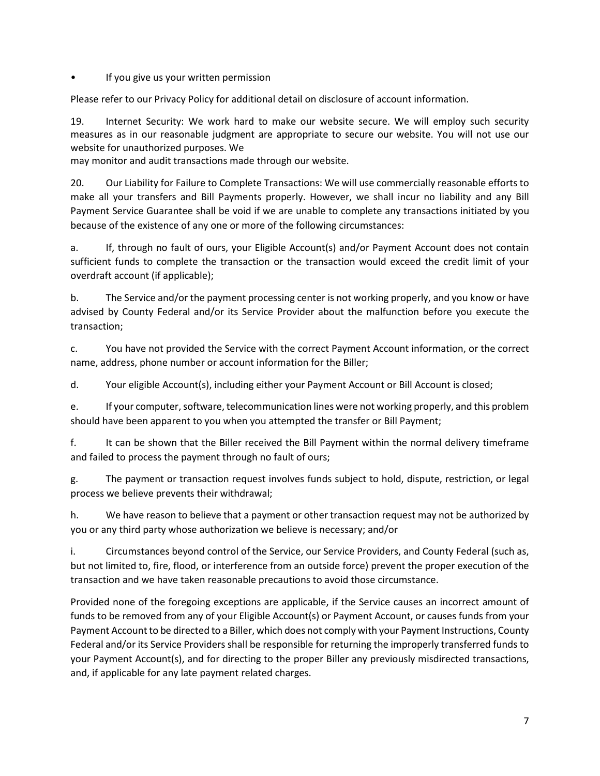If you give us your written permission

Please refer to our Privacy Policy for additional detail on disclosure of account information.

19. Internet Security: We work hard to make our website secure. We will employ such security measures as in our reasonable judgment are appropriate to secure our website. You will not use our website for unauthorized purposes. We

may monitor and audit transactions made through our website.

20. Our Liability for Failure to Complete Transactions: We will use commercially reasonable efforts to make all your transfers and Bill Payments properly. However, we shall incur no liability and any Bill Payment Service Guarantee shall be void if we are unable to complete any transactions initiated by you because of the existence of any one or more of the following circumstances:

a. If, through no fault of ours, your Eligible Account(s) and/or Payment Account does not contain sufficient funds to complete the transaction or the transaction would exceed the credit limit of your overdraft account (if applicable);

b. The Service and/or the payment processing center is not working properly, and you know or have advised by County Federal and/or its Service Provider about the malfunction before you execute the transaction;

c. You have not provided the Service with the correct Payment Account information, or the correct name, address, phone number or account information for the Biller;

d. Your eligible Account(s), including either your Payment Account or Bill Account is closed;

e. If your computer, software, telecommunication lines were not working properly, and this problem should have been apparent to you when you attempted the transfer or Bill Payment;

f. It can be shown that the Biller received the Bill Payment within the normal delivery timeframe and failed to process the payment through no fault of ours;

g. The payment or transaction request involves funds subject to hold, dispute, restriction, or legal process we believe prevents their withdrawal;

h. We have reason to believe that a payment or other transaction request may not be authorized by you or any third party whose authorization we believe is necessary; and/or

i. Circumstances beyond control of the Service, our Service Providers, and County Federal (such as, but not limited to, fire, flood, or interference from an outside force) prevent the proper execution of the transaction and we have taken reasonable precautions to avoid those circumstance.

Provided none of the foregoing exceptions are applicable, if the Service causes an incorrect amount of funds to be removed from any of your Eligible Account(s) or Payment Account, or causes funds from your Payment Account to be directed to a Biller, which does not comply with your Payment Instructions, County Federal and/or its Service Providers shall be responsible for returning the improperly transferred funds to your Payment Account(s), and for directing to the proper Biller any previously misdirected transactions, and, if applicable for any late payment related charges.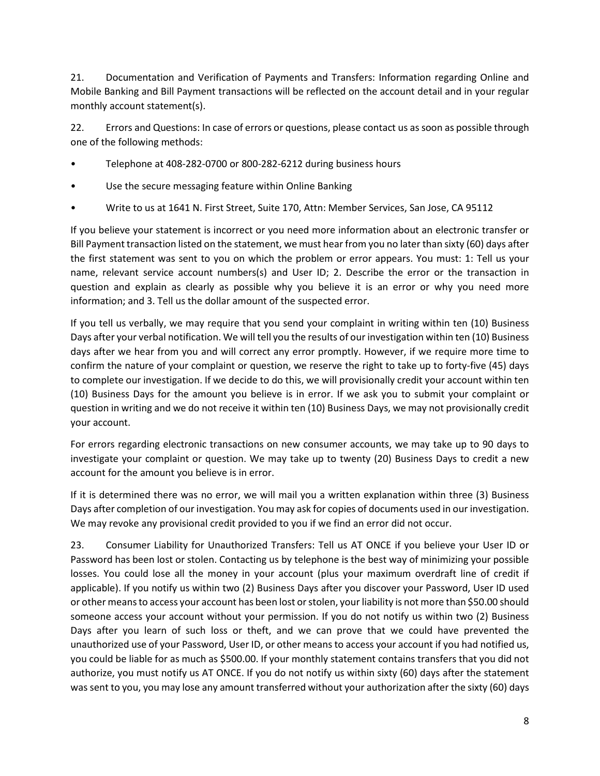21. Documentation and Verification of Payments and Transfers: Information regarding Online and Mobile Banking and Bill Payment transactions will be reflected on the account detail and in your regular monthly account statement(s).

22. Errors and Questions: In case of errors or questions, please contact us as soon as possible through one of the following methods:

- Telephone at 408-282-0700 or 800-282-6212 during business hours
- Use the secure messaging feature within Online Banking
- Write to us at 1641 N. First Street, Suite 170, Attn: Member Services, San Jose, CA 95112

If you believe your statement is incorrect or you need more information about an electronic transfer or Bill Payment transaction listed on the statement, we must hear from you no later than sixty (60) days after the first statement was sent to you on which the problem or error appears. You must: 1: Tell us your name, relevant service account numbers(s) and User ID; 2. Describe the error or the transaction in question and explain as clearly as possible why you believe it is an error or why you need more information; and 3. Tell us the dollar amount of the suspected error.

If you tell us verbally, we may require that you send your complaint in writing within ten (10) Business Days after your verbal notification. We will tell you the results of our investigation within ten (10) Business days after we hear from you and will correct any error promptly. However, if we require more time to confirm the nature of your complaint or question, we reserve the right to take up to forty-five (45) days to complete our investigation. If we decide to do this, we will provisionally credit your account within ten (10) Business Days for the amount you believe is in error. If we ask you to submit your complaint or question in writing and we do not receive it within ten (10) Business Days, we may not provisionally credit your account.

For errors regarding electronic transactions on new consumer accounts, we may take up to 90 days to investigate your complaint or question. We may take up to twenty (20) Business Days to credit a new account for the amount you believe is in error.

If it is determined there was no error, we will mail you a written explanation within three (3) Business Days after completion of our investigation. You may ask for copies of documents used in our investigation. We may revoke any provisional credit provided to you if we find an error did not occur.

23. Consumer Liability for Unauthorized Transfers: Tell us AT ONCE if you believe your User ID or Password has been lost or stolen. Contacting us by telephone is the best way of minimizing your possible losses. You could lose all the money in your account (plus your maximum overdraft line of credit if applicable). If you notify us within two (2) Business Days after you discover your Password, User ID used or other means to access your account has been lost or stolen, your liability is not more than \$50.00 should someone access your account without your permission. If you do not notify us within two (2) Business Days after you learn of such loss or theft, and we can prove that we could have prevented the unauthorized use of your Password, User ID, or other means to access your account if you had notified us, you could be liable for as much as \$500.00. If your monthly statement contains transfers that you did not authorize, you must notify us AT ONCE. If you do not notify us within sixty (60) days after the statement was sent to you, you may lose any amount transferred without your authorization after the sixty (60) days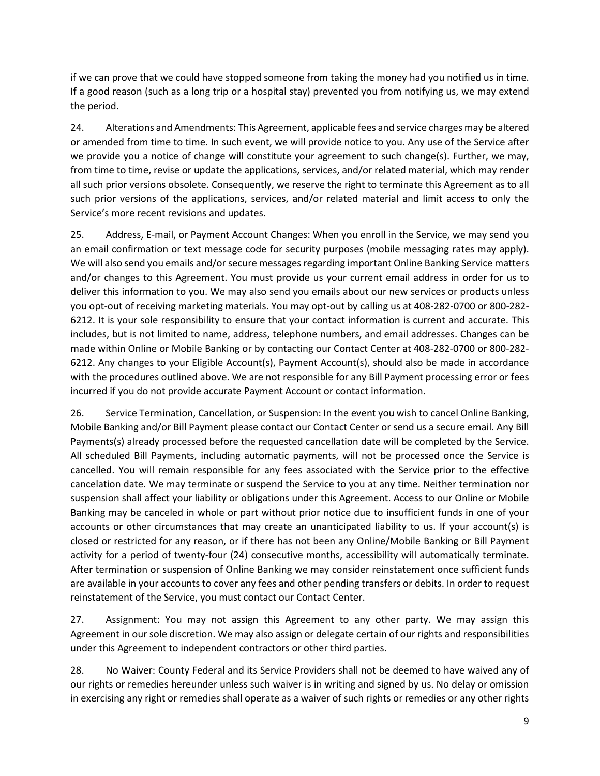if we can prove that we could have stopped someone from taking the money had you notified us in time. If a good reason (such as a long trip or a hospital stay) prevented you from notifying us, we may extend the period.

24. Alterations and Amendments: This Agreement, applicable fees and service charges may be altered or amended from time to time. In such event, we will provide notice to you. Any use of the Service after we provide you a notice of change will constitute your agreement to such change(s). Further, we may, from time to time, revise or update the applications, services, and/or related material, which may render all such prior versions obsolete. Consequently, we reserve the right to terminate this Agreement as to all such prior versions of the applications, services, and/or related material and limit access to only the Service's more recent revisions and updates.

25. Address, E-mail, or Payment Account Changes: When you enroll in the Service, we may send you an email confirmation or text message code for security purposes (mobile messaging rates may apply). We will also send you emails and/or secure messages regarding important Online Banking Service matters and/or changes to this Agreement. You must provide us your current email address in order for us to deliver this information to you. We may also send you emails about our new services or products unless you opt-out of receiving marketing materials. You may opt-out by calling us at 408-282-0700 or 800-282- 6212. It is your sole responsibility to ensure that your contact information is current and accurate. This includes, but is not limited to name, address, telephone numbers, and email addresses. Changes can be made within Online or Mobile Banking or by contacting our Contact Center at 408-282-0700 or 800-282- 6212. Any changes to your Eligible Account(s), Payment Account(s), should also be made in accordance with the procedures outlined above. We are not responsible for any Bill Payment processing error or fees incurred if you do not provide accurate Payment Account or contact information.

26. Service Termination, Cancellation, or Suspension: In the event you wish to cancel Online Banking, Mobile Banking and/or Bill Payment please contact our Contact Center or send us a secure email. Any Bill Payments(s) already processed before the requested cancellation date will be completed by the Service. All scheduled Bill Payments, including automatic payments, will not be processed once the Service is cancelled. You will remain responsible for any fees associated with the Service prior to the effective cancelation date. We may terminate or suspend the Service to you at any time. Neither termination nor suspension shall affect your liability or obligations under this Agreement. Access to our Online or Mobile Banking may be canceled in whole or part without prior notice due to insufficient funds in one of your accounts or other circumstances that may create an unanticipated liability to us. If your account(s) is closed or restricted for any reason, or if there has not been any Online/Mobile Banking or Bill Payment activity for a period of twenty-four (24) consecutive months, accessibility will automatically terminate. After termination or suspension of Online Banking we may consider reinstatement once sufficient funds are available in your accounts to cover any fees and other pending transfers or debits. In order to request reinstatement of the Service, you must contact our Contact Center.

27. Assignment: You may not assign this Agreement to any other party. We may assign this Agreement in our sole discretion. We may also assign or delegate certain of our rights and responsibilities under this Agreement to independent contractors or other third parties.

28. No Waiver: County Federal and its Service Providers shall not be deemed to have waived any of our rights or remedies hereunder unless such waiver is in writing and signed by us. No delay or omission in exercising any right or remedies shall operate as a waiver of such rights or remedies or any other rights